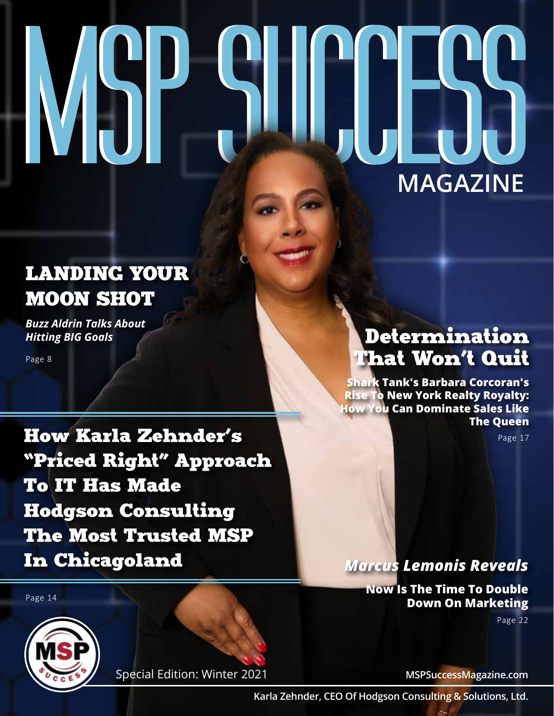# **MSP SUCCESS MAGAZINE**

## LANDING YOUR MOON SHOT

*Buzz Aldrin Talks About Hitting BIG Goals*

Page 8

How Karla Zehnder's "Priced Right" Approach To IT Has Made Hodgson Consulting The Most Trusted MSP In Chicagoland

Special Edition: Winter 2021

### Determination That Won't Quit

**Shark Tank's Barbara Corcoran's Rise To New York Realty Royalty: How You Can Dominate Sales Like The Queen**

Page 17

*Marcus Lemonis Reveals*

**Now Is The Time To Double Down On Marketing**

Page 22



Page 14

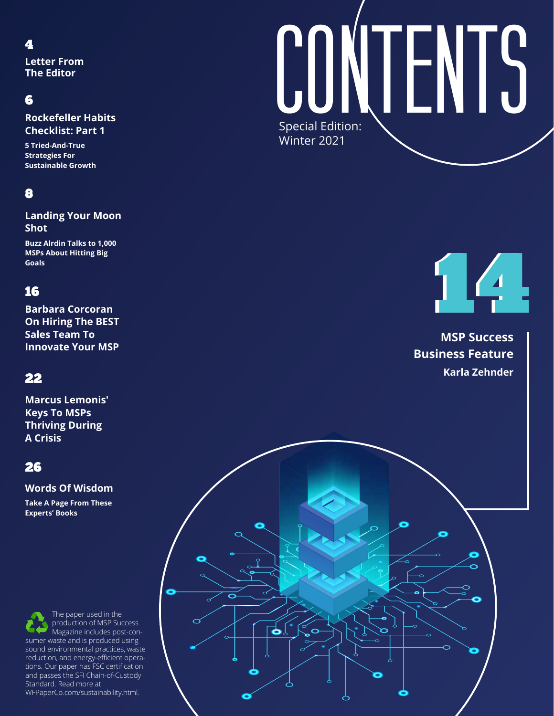#### 4

**Letter From The Editor** 

#### 6

**Rockefeller Habits Checklist: Part 1**

**5 Tried-And-True Strategies For Sustainable Growth**

#### 8

**Landing Your Moon Shot**

**Buzz Alrdin Talks to 1,000 MSPs About Hitting Big Goals**

#### 16

**Barbara Corcoran On Hiring The BEST Sales Team To Innovate Your MSP**

#### 22

**Marcus Lemonis' Keys To MSPs Thriving During A Crisis**

#### 26

#### **Words Of Wisdom**

**Take A Page From These Experts' Books**

Buccess more at the second of the MEPaperCo.com/sustainability.html. The paper used in the production of MSP Success Magazine includes post-consumer waste and is produced using sound environmental practices, waste reduction, and energy-efficient operations. Our paper has FSC certification and passes the SFI Chain-of-Custody Standard. Read more at

# Special Edition: Winter 2021 **CONTENTS**

14 14

**MSP Success Business Feature Karla Zehnder**